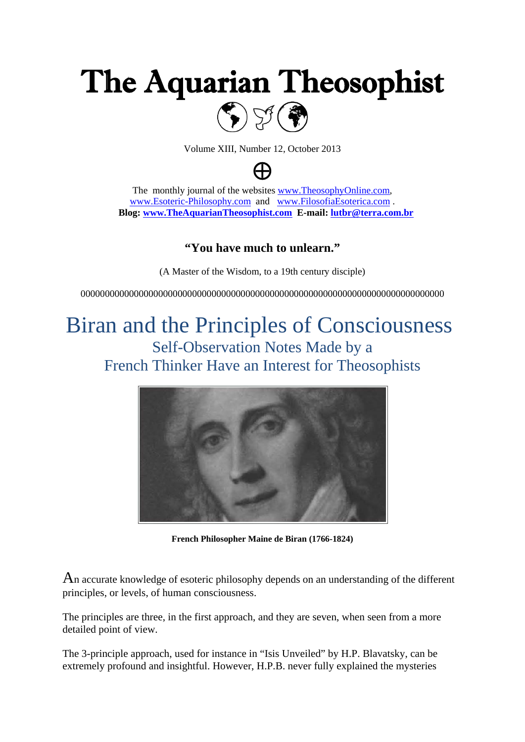# The Aquarian Theosophist

Volume XIII, Number 12, October 2013



The monthly journal of the websites [www.TheosophyOnline.com,](http://www.theosophyonline.com/) [www.Esoteric-Philosophy.com](http://www.esoteric-philosophy.com/) and [www.FilosofiaEsoterica.com](http://www.filosofiaesoterica.com/) .  **Blog: [www.TheAquarianTheosophist.com](http://www.theaquariantheosophist.com/) E-mail: [lutbr@terra.com.br](mailto:lutbr@terra.com.br)**

#### **"You have much to unlearn."**

(A Master of the Wisdom, to a 19th century disciple)

000000000000000000000000000000000000000000000000000000000000000000000000000

## Biran and the Principles of Consciousness Self-Observation Notes Made by a French Thinker Have an Interest for Theosophists



**French Philosopher Maine de Biran (1766-1824)**

An accurate knowledge of esoteric philosophy depends on an understanding of the different principles, or levels, of human consciousness.

The principles are three, in the first approach, and they are seven, when seen from a more detailed point of view.

The 3-principle approach, used for instance in "Isis Unveiled" by H.P. Blavatsky, can be extremely profound and insightful. However, H.P.B. never fully explained the mysteries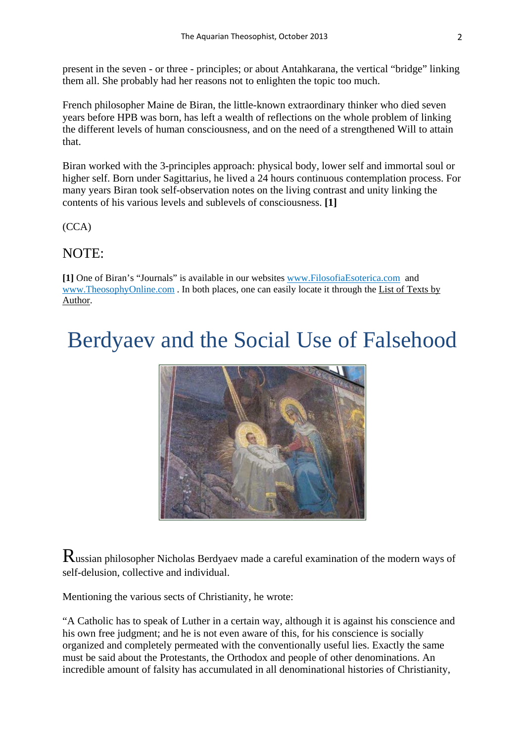present in the seven - or three - principles; or about Antahkarana, the vertical "bridge" linking them all. She probably had her reasons not to enlighten the topic too much.

French philosopher Maine de Biran, the little-known extraordinary thinker who died seven years before HPB was born, has left a wealth of reflections on the whole problem of linking the different levels of human consciousness, and on the need of a strengthened Will to attain that.

Biran worked with the 3-principles approach: physical body, lower self and immortal soul or higher self. Born under Sagittarius, he lived a 24 hours continuous contemplation process. For many years Biran took self-observation notes on the living contrast and unity linking the contents of his various levels and sublevels of consciousness. **[1]**

(CCA)

#### NOTE:

**[1]** One of Biran's "Journals" is available in our websites [www.FilosofiaEsoterica.com](http://www.facebook.com/l.php?u=http%3A%2F%2Fwww.FilosofiaEsoterica.com&h=CAQFVbXh8&enc=AZP8DRuPUCOIDz3JojbOVKXEfo74tnY_q6aK6UNu9OuuOzyRAwTopfJJ3-UF5bzGd61IMTf-rIBnNuDdvM2Ei0cKMF2HYLT3aUU85FtsedNTDHbq5iyxYxCuEwQsHgAoWxz1VPK56rLMGAt8fLXwG2K7&s=1) and [www.TheosophyOnline.com](http://www.theosophyonline.com/) . In both places, one can easily locate it through the List of Texts by Author.

## Berdyaev and the Social Use of Falsehood



Russian philosopher Nicholas Berdyaev made a careful examination of the modern ways of self-delusion, collective and individual.

Mentioning the various sects of Christianity, he wrote:

"A Catholic has to speak of Luther in a certain way, although it is against his conscience and his own free judgment; and he is not even aware of this, for his conscience is socially organized and completely permeated with the conventionally useful lies. Exactly the same must be said about the Protestants, the Orthodox and people of other denominations. An incredible amount of falsity has accumulated in all denominational histories of Christianity,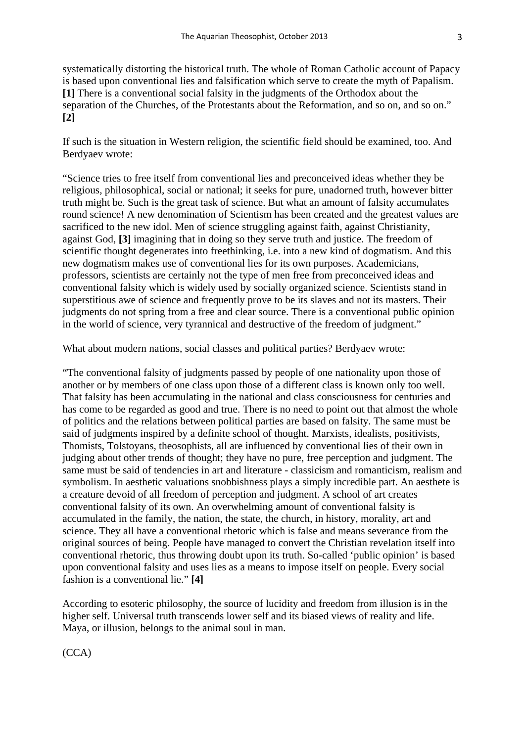systematically distorting the historical truth. The whole of Roman Catholic account of Papacy is based upon conventional lies and falsification which serve to create the myth of Papalism. **[1]** There is a conventional social falsity in the judgments of the Orthodox about the separation of the Churches, of the Protestants about the Reformation, and so on, and so on." **[2]**

If such is the situation in Western religion, the scientific field should be examined, too. And Berdyaev wrote:

"Science tries to free itself from conventional lies and preconceived ideas whether they be religious, philosophical, social or national; it seeks for pure, unadorned truth, however bitter truth might be. Such is the great task of science. But what an amount of falsity accumulates round science! A new denomination of Scientism has been created and the greatest values are sacrificed to the new idol. Men of science struggling against faith, against Christianity, against God, **[3]** imagining that in doing so they serve truth and justice. The freedom of scientific thought degenerates into freethinking, i.e. into a new kind of dogmatism. And this new dogmatism makes use of conventional lies for its own purposes. Academicians, professors, scientists are certainly not the type of men free from preconceived ideas and conventional falsity which is widely used by socially organized science. Scientists stand in superstitious awe of science and frequently prove to be its slaves and not its masters. Their judgments do not spring from a free and clear source. There is a conventional public opinion in the world of science, very tyrannical and destructive of the freedom of judgment."

What about modern nations, social classes and political parties? Berdyaev wrote:

"The conventional falsity of judgments passed by people of one nationality upon those of another or by members of one class upon those of a different class is known only too well. That falsity has been accumulating in the national and class consciousness for centuries and has come to be regarded as good and true. There is no need to point out that almost the whole of politics and the relations between political parties are based on falsity. The same must be said of judgments inspired by a definite school of thought. Marxists, idealists, positivists, Thomists, Tolstoyans, theosophists, all are influenced by conventional lies of their own in judging about other trends of thought; they have no pure, free perception and judgment. The same must be said of tendencies in art and literature - classicism and romanticism, realism and symbolism. In aesthetic valuations snobbishness plays a simply incredible part. An aesthete is a creature devoid of all freedom of perception and judgment. A school of art creates conventional falsity of its own. An overwhelming amount of conventional falsity is accumulated in the family, the nation, the state, the church, in history, morality, art and science. They all have a conventional rhetoric which is false and means severance from the original sources of being. People have managed to convert the Christian revelation itself into conventional rhetoric, thus throwing doubt upon its truth. So-called 'public opinion' is based upon conventional falsity and uses lies as a means to impose itself on people. Every social fashion is a conventional lie." **[4]**

According to esoteric philosophy, the source of lucidity and freedom from illusion is in the higher self. Universal truth transcends lower self and its biased views of reality and life. Maya, or illusion, belongs to the animal soul in man.

(CCA)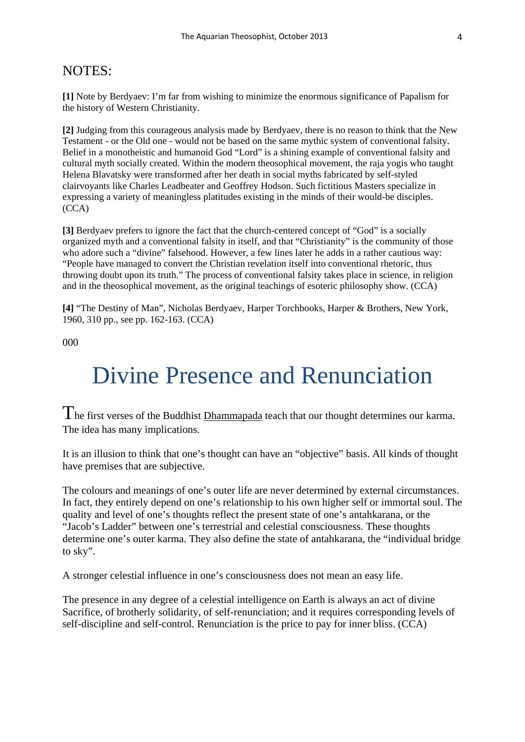#### NOTES:

**[1]** Note by Berdyaev: I'm far from wishing to minimize the enormous significance of Papalism for the history of Western Christianity.

**[2]** Judging from this courageous analysis made by Berdyaev, there is no reason to think that the New Testament - or the Old one - would not be based on the same mythic system of conventional falsity. Belief in a monotheistic and humanoid God "Lord" is a shining example of conventional falsity and cultural myth socially created. Within the modern theosophical movement, the raja yogis who taught Helena Blavatsky were transformed after her death in social myths fabricated by self-styled clairvoyants like Charles Leadbeater and Geoffrey Hodson. Such fictitious Masters specialize in expressing a variety of meaningless platitudes existing in the minds of their would-be disciples. (CCA)

**[3]** Berdyaev prefers to ignore the fact that the church-centered concept of "God" is a socially organized myth and a conventional falsity in itself, and that "Christianity" is the community of those who adore such a "divine" falsehood. However, a few lines later he adds in a rather cautious way: "People have managed to convert the Christian revelation itself into conventional rhetoric, thus throwing doubt upon its truth." The process of conventional falsity takes place in science, in religion and in the theosophical movement, as the original teachings of esoteric philosophy show. (CCA)

**[4]** "The Destiny of Man", Nicholas Berdyaev, Harper Torchbooks, Harper & Brothers, New York, 1960, 310 pp., see pp. 162-163. (CCA)

000

## Divine Presence and Renunciation

The first verses of the Buddhist *Dhammapada* teach that our thought determines our karma. The idea has many implications.

It is an illusion to think that one's thought can have an "objective" basis. All kinds of thought have premises that are subjective.

The colours and meanings of one's outer life are never determined by external circumstances. In fact, they entirely depend on one's relationship to his own higher self or immortal soul. The quality and level of one's thoughts reflect the present state of one's antahkarana, or the "Jacob's Ladder" between one's terrestrial and celestial consciousness. These thoughts determine one's outer karma. They also define the state of antahkarana, the "individual bridge to sky".

A stronger celestial influence in one's consciousness does not mean an easy life.

The presence in any degree of a celestial intelligence on Earth is always an act of divine Sacrifice, of brotherly solidarity, of self-renunciation; and it requires corresponding levels of self-discipline and self-control. Renunciation is the price to pay for inner bliss. (CCA)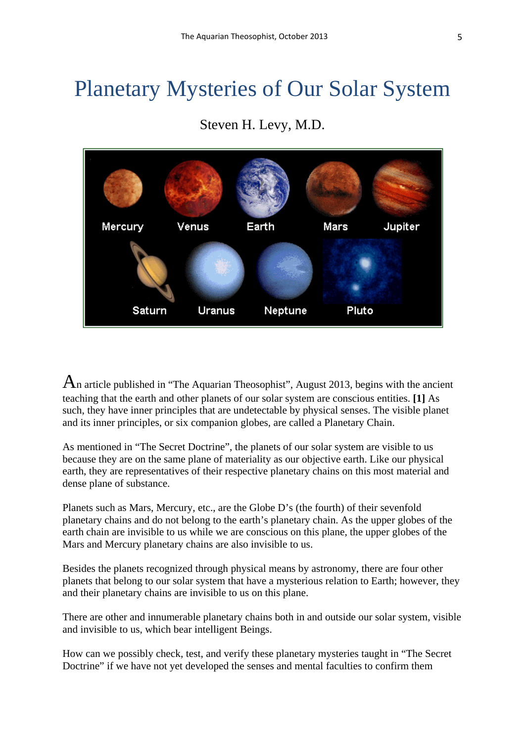## Planetary Mysteries of Our Solar System

#### Steven H. Levy, M.D.



 $A_n$  article published in "The Aquarian Theosophist", August 2013, begins with the ancient teaching that the earth and other planets of our solar system are conscious entities. **[1]** As such, they have inner principles that are undetectable by physical senses. The visible planet and its inner principles, or six companion globes, are called a Planetary Chain.

As mentioned in "The Secret Doctrine", the planets of our solar system are visible to us because they are on the same plane of materiality as our objective earth. Like our physical earth, they are representatives of their respective planetary chains on this most material and dense plane of substance.

Planets such as Mars, Mercury, etc., are the Globe D's (the fourth) of their sevenfold planetary chains and do not belong to the earth's planetary chain. As the upper globes of the earth chain are invisible to us while we are conscious on this plane, the upper globes of the Mars and Mercury planetary chains are also invisible to us.

Besides the planets recognized through physical means by astronomy, there are four other planets that belong to our solar system that have a mysterious relation to Earth; however, they and their planetary chains are invisible to us on this plane.

There are other and innumerable planetary chains both in and outside our solar system, visible and invisible to us, which bear intelligent Beings.

How can we possibly check, test, and verify these planetary mysteries taught in "The Secret Doctrine" if we have not yet developed the senses and mental faculties to confirm them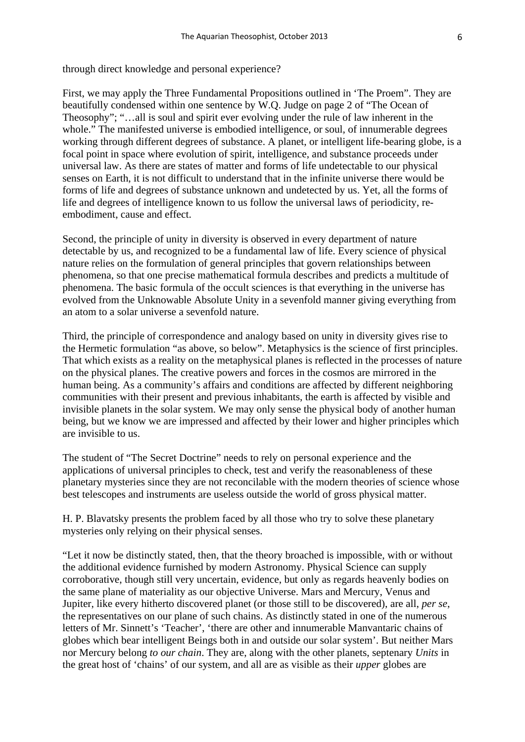through direct knowledge and personal experience?

First, we may apply the Three Fundamental Propositions outlined in 'The Proem". They are beautifully condensed within one sentence by W.Q. Judge on page 2 of "The Ocean of Theosophy"; "…all is soul and spirit ever evolving under the rule of law inherent in the whole." The manifested universe is embodied intelligence, or soul, of innumerable degrees working through different degrees of substance. A planet, or intelligent life-bearing globe, is a focal point in space where evolution of spirit, intelligence, and substance proceeds under universal law. As there are states of matter and forms of life undetectable to our physical senses on Earth, it is not difficult to understand that in the infinite universe there would be forms of life and degrees of substance unknown and undetected by us. Yet, all the forms of life and degrees of intelligence known to us follow the universal laws of periodicity, reembodiment, cause and effect.

Second, the principle of unity in diversity is observed in every department of nature detectable by us, and recognized to be a fundamental law of life. Every science of physical nature relies on the formulation of general principles that govern relationships between phenomena, so that one precise mathematical formula describes and predicts a multitude of phenomena. The basic formula of the occult sciences is that everything in the universe has evolved from the Unknowable Absolute Unity in a sevenfold manner giving everything from an atom to a solar universe a sevenfold nature.

Third, the principle of correspondence and analogy based on unity in diversity gives rise to the Hermetic formulation "as above, so below". Metaphysics is the science of first principles. That which exists as a reality on the metaphysical planes is reflected in the processes of nature on the physical planes. The creative powers and forces in the cosmos are mirrored in the human being. As a community's affairs and conditions are affected by different neighboring communities with their present and previous inhabitants, the earth is affected by visible and invisible planets in the solar system. We may only sense the physical body of another human being, but we know we are impressed and affected by their lower and higher principles which are invisible to us.

The student of "The Secret Doctrine" needs to rely on personal experience and the applications of universal principles to check, test and verify the reasonableness of these planetary mysteries since they are not reconcilable with the modern theories of science whose best telescopes and instruments are useless outside the world of gross physical matter.

H. P. Blavatsky presents the problem faced by all those who try to solve these planetary mysteries only relying on their physical senses.

"Let it now be distinctly stated, then, that the theory broached is impossible, with or without the additional evidence furnished by modern Astronomy. Physical Science can supply corroborative, though still very uncertain, evidence, but only as regards heavenly bodies on the same plane of materiality as our objective Universe. Mars and Mercury, Venus and Jupiter, like every hitherto discovered planet (or those still to be discovered), are all, *per se*, the representatives on our plane of such chains. As distinctly stated in one of the numerous letters of Mr. Sinnett's 'Teacher', 'there are other and innumerable Manvantaric chains of globes which bear intelligent Beings both in and outside our solar system'. But neither Mars nor Mercury belong *to our chain*. They are, along with the other planets, septenary *Units* in the great host of 'chains' of our system, and all are as visible as their *upper* globes are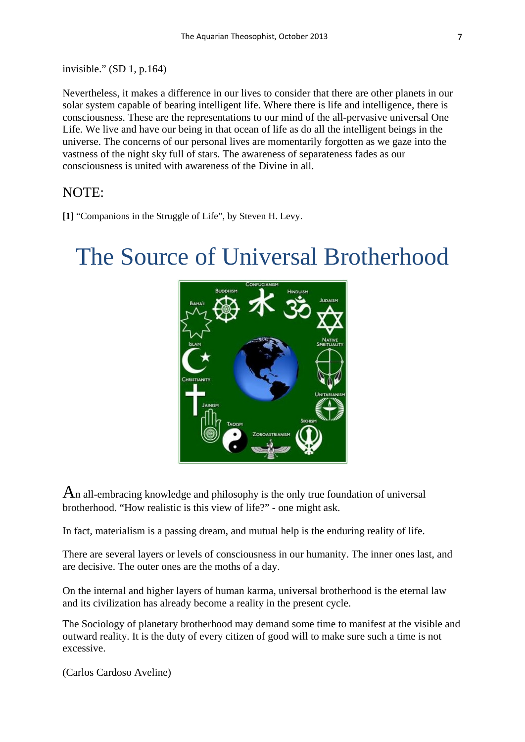invisible." (SD 1, p.164)

Nevertheless, it makes a difference in our lives to consider that there are other planets in our solar system capable of bearing intelligent life. Where there is life and intelligence, there is consciousness. These are the representations to our mind of the all-pervasive universal One Life. We live and have our being in that ocean of life as do all the intelligent beings in the universe. The concerns of our personal lives are momentarily forgotten as we gaze into the vastness of the night sky full of stars. The awareness of separateness fades as our consciousness is united with awareness of the Divine in all.

#### NOTE:

**[1]** "Companions in the Struggle of Life", by Steven H. Levy.

## The Source of Universal Brotherhood



An all-embracing knowledge and philosophy is the only true foundation of universal brotherhood. "How realistic is this view of life?" - one might ask.

In fact, materialism is a passing dream, and mutual help is the enduring reality of life.

There are several layers or levels of consciousness in our humanity. The inner ones last, and are decisive. The outer ones are the moths of a day.

On the internal and higher layers of human karma, universal brotherhood is the eternal law and its civilization has already become a reality in the present cycle.

The Sociology of planetary brotherhood may demand some time to manifest at the visible and outward reality. It is the duty of every citizen of good will to make sure such a time is not excessive.

(Carlos Cardoso Aveline)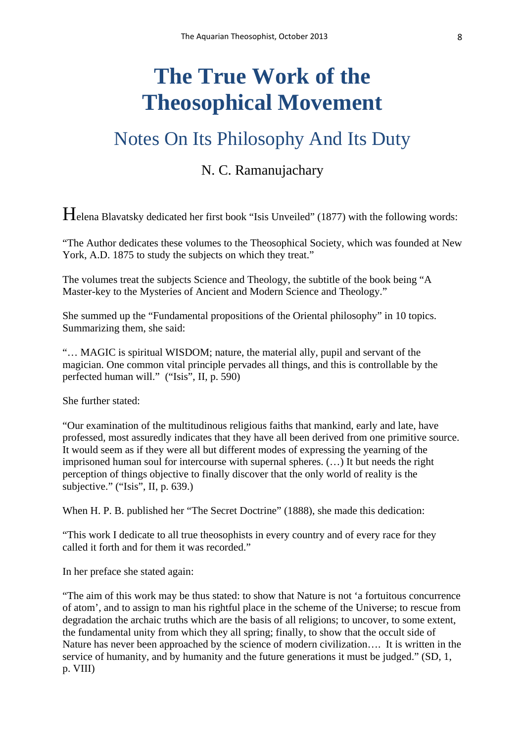## **The True Work of the Theosophical Movement**

### Notes On Its Philosophy And Its Duty

#### N. C. Ramanujachary

Helena Blavatsky dedicated her first book "Isis Unveiled" (1877) with the following words:

"The Author dedicates these volumes to the Theosophical Society, which was founded at New York, A.D. 1875 to study the subjects on which they treat."

The volumes treat the subjects Science and Theology, the subtitle of the book being "A Master-key to the Mysteries of Ancient and Modern Science and Theology."

She summed up the "Fundamental propositions of the Oriental philosophy" in 10 topics. Summarizing them, she said:

"… MAGIC is spiritual WISDOM; nature, the material ally, pupil and servant of the magician. One common vital principle pervades all things, and this is controllable by the perfected human will." ("Isis", II, p. 590)

She further stated:

"Our examination of the multitudinous religious faiths that mankind, early and late, have professed, most assuredly indicates that they have all been derived from one primitive source. It would seem as if they were all but different modes of expressing the yearning of the imprisoned human soul for intercourse with supernal spheres. (…) It but needs the right perception of things objective to finally discover that the only world of reality is the subjective." ("Isis", II, p. 639.)

When H. P. B. published her "The Secret Doctrine" (1888), she made this dedication:

"This work I dedicate to all true theosophists in every country and of every race for they called it forth and for them it was recorded."

In her preface she stated again:

"The aim of this work may be thus stated: to show that Nature is not 'a fortuitous concurrence of atom', and to assign to man his rightful place in the scheme of the Universe; to rescue from degradation the archaic truths which are the basis of all religions; to uncover, to some extent, the fundamental unity from which they all spring; finally, to show that the occult side of Nature has never been approached by the science of modern civilization…. It is written in the service of humanity, and by humanity and the future generations it must be judged." (SD, 1, p. VIII)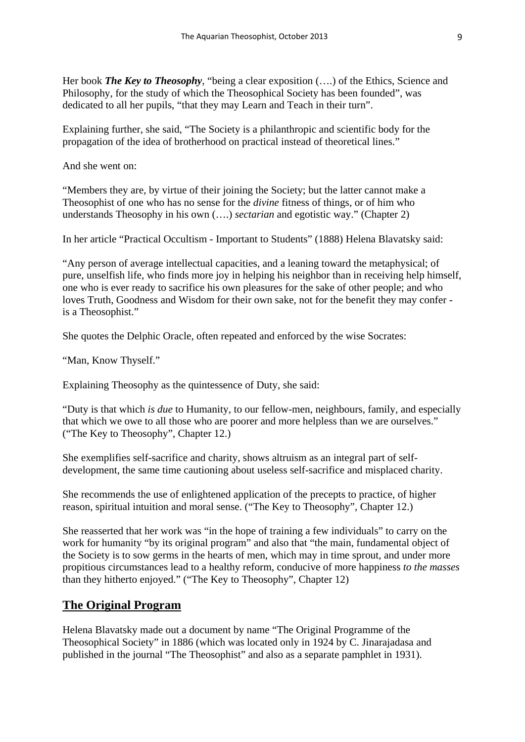Her book **The Key to Theosophy**, "being a clear exposition (....) of the Ethics, Science and Philosophy, for the study of which the Theosophical Society has been founded", was dedicated to all her pupils, "that they may Learn and Teach in their turn".

Explaining further, she said, "The Society is a philanthropic and scientific body for the propagation of the idea of brotherhood on practical instead of theoretical lines."

And she went on:

"Members they are, by virtue of their joining the Society; but the latter cannot make a Theosophist of one who has no sense for the *divine* fitness of things, or of him who understands Theosophy in his own (….) *sectarian* and egotistic way." (Chapter 2)

In her article "Practical Occultism - Important to Students" (1888) Helena Blavatsky said:

"Any person of average intellectual capacities, and a leaning toward the metaphysical; of pure, unselfish life, who finds more joy in helping his neighbor than in receiving help himself, one who is ever ready to sacrifice his own pleasures for the sake of other people; and who loves Truth, Goodness and Wisdom for their own sake, not for the benefit they may confer is a Theosophist."

She quotes the Delphic Oracle, often repeated and enforced by the wise Socrates:

"Man, Know Thyself."

Explaining Theosophy as the quintessence of Duty, she said:

"Duty is that which *is due* to Humanity, to our fellow-men, neighbours, family, and especially that which we owe to all those who are poorer and more helpless than we are ourselves." ("The Key to Theosophy", Chapter 12.)

She exemplifies self-sacrifice and charity, shows altruism as an integral part of selfdevelopment, the same time cautioning about useless self-sacrifice and misplaced charity.

She recommends the use of enlightened application of the precepts to practice, of higher reason, spiritual intuition and moral sense. ("The Key to Theosophy", Chapter 12.)

She reasserted that her work was "in the hope of training a few individuals" to carry on the work for humanity "by its original program" and also that "the main, fundamental object of the Society is to sow germs in the hearts of men, which may in time sprout, and under more propitious circumstances lead to a healthy reform, conducive of more happiness *to the masses* than they hitherto enjoyed." ("The Key to Theosophy", Chapter 12)

#### **The Original Program**

Helena Blavatsky made out a document by name "The Original Programme of the Theosophical Society" in 1886 (which was located only in 1924 by C. Jinarajadasa and published in the journal "The Theosophist" and also as a separate pamphlet in 1931).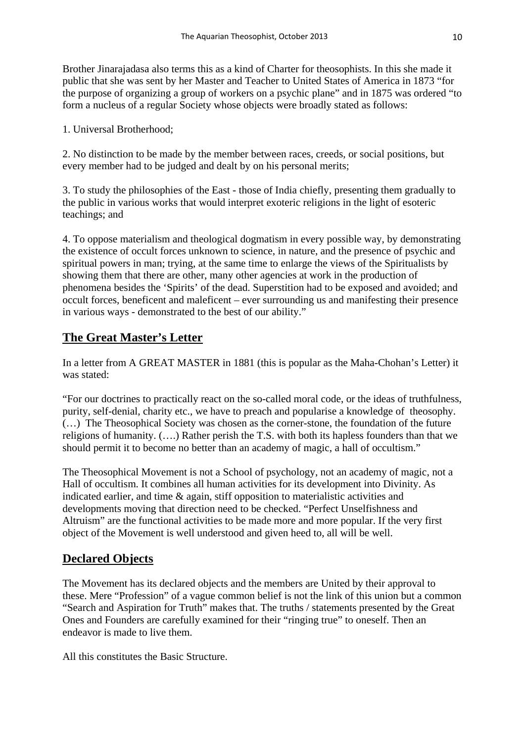Brother Jinarajadasa also terms this as a kind of Charter for theosophists. In this she made it public that she was sent by her Master and Teacher to United States of America in 1873 "for the purpose of organizing a group of workers on a psychic plane" and in 1875 was ordered "to form a nucleus of a regular Society whose objects were broadly stated as follows:

1. Universal Brotherhood;

2. No distinction to be made by the member between races, creeds, or social positions, but every member had to be judged and dealt by on his personal merits;

3. To study the philosophies of the East - those of India chiefly, presenting them gradually to the public in various works that would interpret exoteric religions in the light of esoteric teachings; and

4. To oppose materialism and theological dogmatism in every possible way, by demonstrating the existence of occult forces unknown to science, in nature, and the presence of psychic and spiritual powers in man; trying, at the same time to enlarge the views of the Spiritualists by showing them that there are other, many other agencies at work in the production of phenomena besides the 'Spirits' of the dead. Superstition had to be exposed and avoided; and occult forces, beneficent and maleficent – ever surrounding us and manifesting their presence in various ways - demonstrated to the best of our ability."

#### **The Great Master's Letter**

In a letter from A GREAT MASTER in 1881 (this is popular as the Maha-Chohan's Letter) it was stated:

"For our doctrines to practically react on the so-called moral code, or the ideas of truthfulness, purity, self-denial, charity etc., we have to preach and popularise a knowledge of theosophy. (…) The Theosophical Society was chosen as the corner-stone, the foundation of the future religions of humanity. (….) Rather perish the T.S. with both its hapless founders than that we should permit it to become no better than an academy of magic, a hall of occultism."

The Theosophical Movement is not a School of psychology, not an academy of magic, not a Hall of occultism. It combines all human activities for its development into Divinity. As indicated earlier, and time & again, stiff opposition to materialistic activities and developments moving that direction need to be checked. "Perfect Unselfishness and Altruism" are the functional activities to be made more and more popular. If the very first object of the Movement is well understood and given heed to, all will be well.

#### **Declared Objects**

The Movement has its declared objects and the members are United by their approval to these. Mere "Profession" of a vague common belief is not the link of this union but a common "Search and Aspiration for Truth" makes that. The truths / statements presented by the Great Ones and Founders are carefully examined for their "ringing true" to oneself. Then an endeavor is made to live them.

All this constitutes the Basic Structure.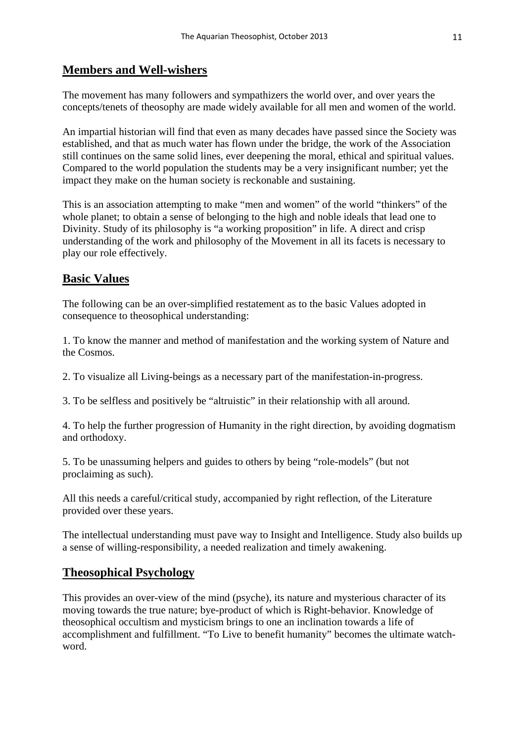#### **Members and Well-wishers**

The movement has many followers and sympathizers the world over, and over years the concepts/tenets of theosophy are made widely available for all men and women of the world.

An impartial historian will find that even as many decades have passed since the Society was established, and that as much water has flown under the bridge, the work of the Association still continues on the same solid lines, ever deepening the moral, ethical and spiritual values. Compared to the world population the students may be a very insignificant number; yet the impact they make on the human society is reckonable and sustaining.

This is an association attempting to make "men and women" of the world "thinkers" of the whole planet; to obtain a sense of belonging to the high and noble ideals that lead one to Divinity. Study of its philosophy is "a working proposition" in life. A direct and crisp understanding of the work and philosophy of the Movement in all its facets is necessary to play our role effectively.

#### **Basic Values**

The following can be an over-simplified restatement as to the basic Values adopted in consequence to theosophical understanding:

1. To know the manner and method of manifestation and the working system of Nature and the Cosmos.

2. To visualize all Living-beings as a necessary part of the manifestation-in-progress.

3. To be selfless and positively be "altruistic" in their relationship with all around.

4. To help the further progression of Humanity in the right direction, by avoiding dogmatism and orthodoxy.

5. To be unassuming helpers and guides to others by being "role-models" (but not proclaiming as such).

All this needs a careful/critical study, accompanied by right reflection, of the Literature provided over these years.

The intellectual understanding must pave way to Insight and Intelligence. Study also builds up a sense of willing-responsibility, a needed realization and timely awakening.

#### **Theosophical Psychology**

This provides an over-view of the mind (psyche), its nature and mysterious character of its moving towards the true nature; bye-product of which is Right-behavior. Knowledge of theosophical occultism and mysticism brings to one an inclination towards a life of accomplishment and fulfillment. "To Live to benefit humanity" becomes the ultimate watchword.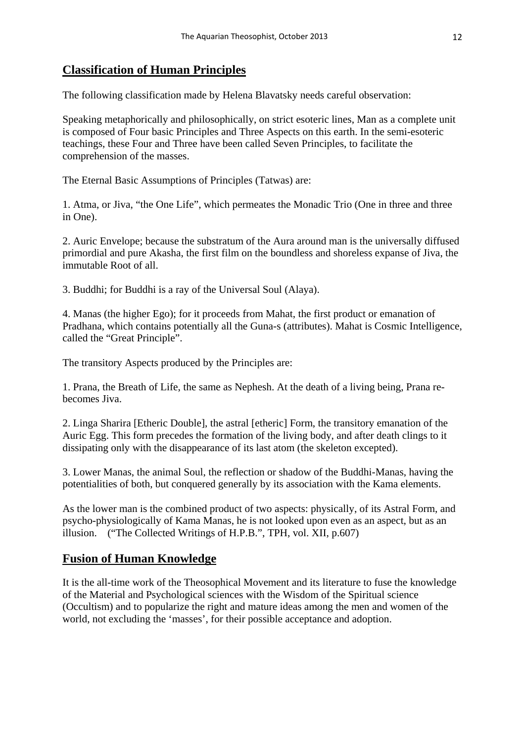#### **Classification of Human Principles**

The following classification made by Helena Blavatsky needs careful observation:

Speaking metaphorically and philosophically, on strict esoteric lines, Man as a complete unit is composed of Four basic Principles and Three Aspects on this earth. In the semi-esoteric teachings, these Four and Three have been called Seven Principles, to facilitate the comprehension of the masses.

The Eternal Basic Assumptions of Principles (Tatwas) are:

1. Atma, or Jiva, "the One Life", which permeates the Monadic Trio (One in three and three in One).

2. Auric Envelope; because the substratum of the Aura around man is the universally diffused primordial and pure Akasha, the first film on the boundless and shoreless expanse of Jiva, the immutable Root of all.

3. Buddhi; for Buddhi is a ray of the Universal Soul (Alaya).

4. Manas (the higher Ego); for it proceeds from Mahat, the first product or emanation of Pradhana, which contains potentially all the Guna-s (attributes). Mahat is Cosmic Intelligence, called the "Great Principle".

The transitory Aspects produced by the Principles are:

1. Prana, the Breath of Life, the same as Nephesh. At the death of a living being, Prana rebecomes Jiva.

2. Linga Sharira [Etheric Double], the astral [etheric] Form, the transitory emanation of the Auric Egg. This form precedes the formation of the living body, and after death clings to it dissipating only with the disappearance of its last atom (the skeleton excepted).

3. Lower Manas, the animal Soul, the reflection or shadow of the Buddhi-Manas, having the potentialities of both, but conquered generally by its association with the Kama elements.

As the lower man is the combined product of two aspects: physically, of its Astral Form, and psycho-physiologically of Kama Manas, he is not looked upon even as an aspect, but as an illusion. ("The Collected Writings of H.P.B.", TPH, vol. XII, p.607)

#### **Fusion of Human Knowledge**

It is the all-time work of the Theosophical Movement and its literature to fuse the knowledge of the Material and Psychological sciences with the Wisdom of the Spiritual science (Occultism) and to popularize the right and mature ideas among the men and women of the world, not excluding the 'masses', for their possible acceptance and adoption.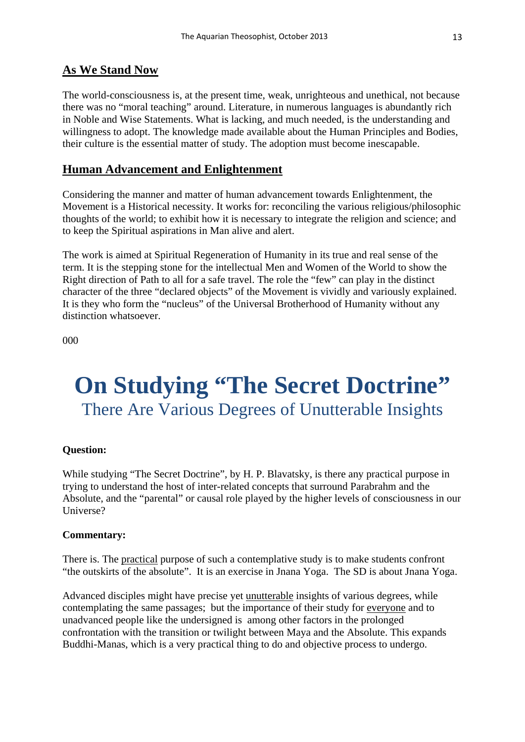#### **As We Stand Now**

The world-consciousness is, at the present time, weak, unrighteous and unethical, not because there was no "moral teaching" around. Literature, in numerous languages is abundantly rich in Noble and Wise Statements. What is lacking, and much needed, is the understanding and willingness to adopt. The knowledge made available about the Human Principles and Bodies, their culture is the essential matter of study. The adoption must become inescapable.

#### **Human Advancement and Enlightenment**

Considering the manner and matter of human advancement towards Enlightenment, the Movement is a Historical necessity. It works for: reconciling the various religious/philosophic thoughts of the world; to exhibit how it is necessary to integrate the religion and science; and to keep the Spiritual aspirations in Man alive and alert.

The work is aimed at Spiritual Regeneration of Humanity in its true and real sense of the term. It is the stepping stone for the intellectual Men and Women of the World to show the Right direction of Path to all for a safe travel. The role the "few" can play in the distinct character of the three "declared objects" of the Movement is vividly and variously explained. It is they who form the "nucleus" of the Universal Brotherhood of Humanity without any distinction whatsoever.

000

## **On Studying "The Secret Doctrine"** There Are Various Degrees of Unutterable Insights

#### **Question:**

While studying "The Secret Doctrine", by H. P. Blavatsky, is there any practical purpose in trying to understand the host of inter-related concepts that surround Parabrahm and the Absolute, and the "parental" or causal role played by the higher levels of consciousness in our Universe?

#### **Commentary:**

There is. The practical purpose of such a contemplative study is to make students confront "the outskirts of the absolute". It is an exercise in Jnana Yoga. The SD is about Jnana Yoga.

Advanced disciples might have precise yet unutterable insights of various degrees, while contemplating the same passages; but the importance of their study for everyone and to unadvanced people like the undersigned is among other factors in the prolonged confrontation with the transition or twilight between Maya and the Absolute. This expands Buddhi-Manas, which is a very practical thing to do and objective process to undergo.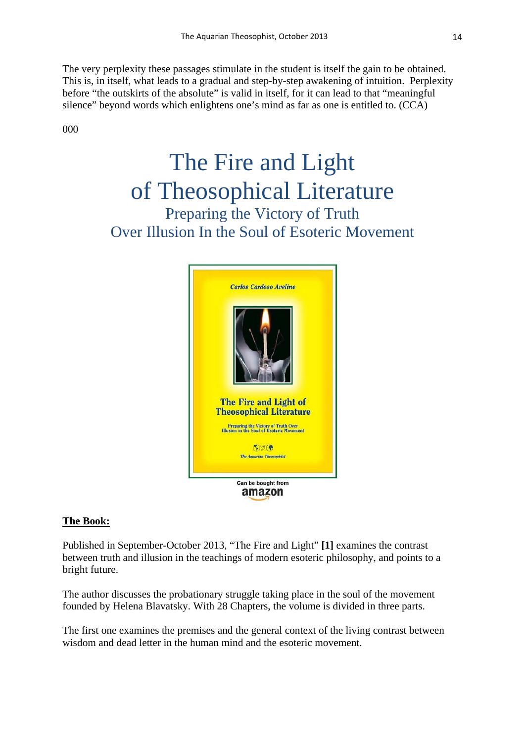The very perplexity these passages stimulate in the student is itself the gain to be obtained. This is, in itself, what leads to a gradual and step-by-step awakening of intuition. Perplexity before "the outskirts of the absolute" is valid in itself, for it can lead to that "meaningful" silence" beyond words which enlightens one's mind as far as one is entitled to. (CCA)

000

## The Fire and Light of Theosophical Literature Preparing the Victory of Truth Over Illusion In the Soul of Esoteric Movement



#### **The Book:**

Published in September-October 2013, "The Fire and Light" **[1]** examines the contrast between truth and illusion in the teachings of modern esoteric philosophy, and points to a bright future.

The author discusses the probationary struggle taking place in the soul of the movement founded by Helena Blavatsky. With 28 Chapters, the volume is divided in three parts.

The first one examines the premises and the general context of the living contrast between wisdom and dead letter in the human mind and the esoteric movement.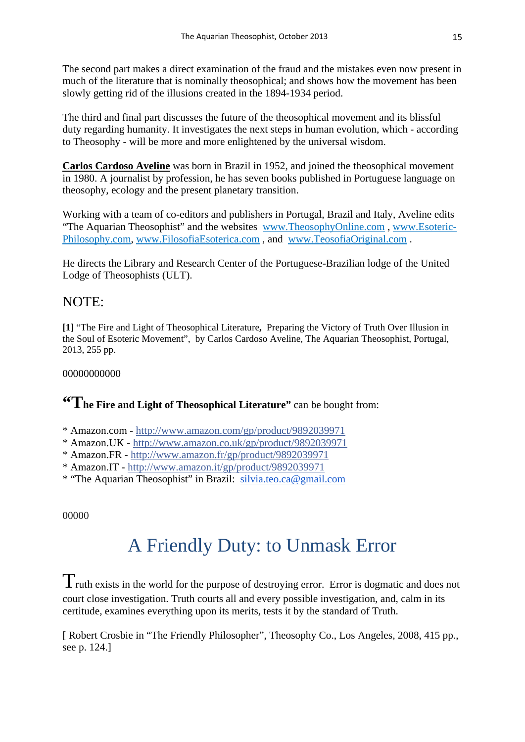The second part makes a direct examination of the fraud and the mistakes even now present in much of the literature that is nominally theosophical; and shows how the movement has been slowly getting rid of the illusions created in the 1894-1934 period.

The third and final part discusses the future of the theosophical movement and its blissful duty regarding humanity. It investigates the next steps in human evolution, which - according to Theosophy - will be more and more enlightened by the universal wisdom.

**Carlos Cardoso Aveline** was born in Brazil in 1952, and joined the theosophical movement in 1980. A journalist by profession, he has seven books published in Portuguese language on theosophy, ecology and the present planetary transition.

Working with a team of co-editors and publishers in Portugal, Brazil and Italy, Aveline edits "The Aquarian Theosophist" and the websites [www.TheosophyOnline.com](http://www.theosophyonline.com/) , [www.Esoteric-](http://www.esoteric-philosophy.com/)[Philosophy.com,](http://www.esoteric-philosophy.com/) [www.FilosofiaEsoterica.com](http://www.filosofiaesoterica.com/) , and [www.TeosofiaOriginal.com](http://www.teosofiaoriginal.com/) .

He directs the Library and Research Center of the Portuguese-Brazilian lodge of the United Lodge of Theosophists (ULT).

#### NOTE:

**[1]** "The Fire and Light of Theosophical Literature**,** Preparing the Victory of Truth Over Illusion in the Soul of Esoteric Movement", by Carlos Cardoso Aveline, The Aquarian Theosophist, Portugal, 2013, 255 pp.

#### 00000000000

#### **"The Fire and Light of Theosophical Literature"** can be bought from:

\* Amazon.com - <http://www.amazon.com/gp/product/9892039971>

\* Amazon.UK - <http://www.amazon.co.uk/gp/product/9892039971>

\* Amazon.FR - <http://www.amazon.fr/gp/product/9892039971>

\* Amazon.IT - <http://www.amazon.it/gp/product/9892039971>

\* "The Aquarian Theosophist" in Brazil: [silvia.teo.ca@gmail.com](mailto:silvia.teo.ca@gmail.com)

00000

## A Friendly Duty: to Unmask Error

Truth exists in the world for the purpose of destroying error. Error is dogmatic and does not court close investigation. Truth courts all and every possible investigation, and, calm in its certitude, examines everything upon its merits, tests it by the standard of Truth.

[ Robert Crosbie in "The Friendly Philosopher", Theosophy Co., Los Angeles, 2008, 415 pp., see p. 124.]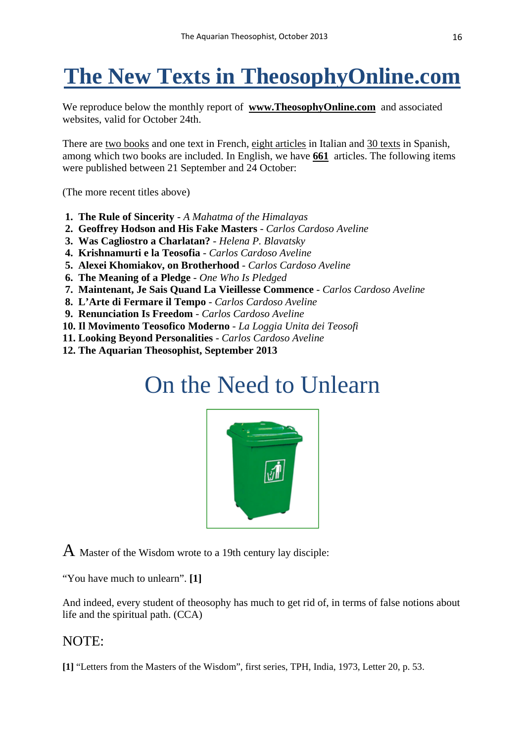# **The New Texts in [TheosophyOnline.com](http://www.theosophyonline.com/)**

We reproduce below the monthly report of **[www.TheosophyOnline.com](http://www.theosophyonline.com/)** and associated websites, valid for October 24th.

There are two books and one text in French, eight articles in Italian and 30 texts in Spanish, among which two books are included. In English, we have **661** articles. The following items were published between 21 September and 24 October:

(The more recent titles above)

- **1. The Rule of Sincerity** *A Mahatma of the Himalayas*
- **2. Geoffrey Hodson and His Fake Masters** *Carlos Cardoso Aveline*
- **3. Was Cagliostro a Charlatan?** *Helena P. Blavatsky*
- **4. Krishnamurti e la Teosofia** *Carlos Cardoso Aveline*
- **5. Alexei Khomiakov, on Brotherhood** *Carlos Cardoso Aveline*
- **6. The Meaning of a Pledge** *One Who Is Pledged*
- **7. Maintenant, Je Sais Quand La Vieillesse Commence** *Carlos Cardoso Aveline*
- **8. L'Arte di Fermare il Tempo** *Carlos Cardoso Aveline*
- **9. Renunciation Is Freedom** *Carlos Cardoso Aveline*
- **10. Il Movimento Teosofico Moderno** *La Loggia Unita dei Teosofi*
- **11. Looking Beyond Personalities** *Carlos Cardoso Aveline*
- **12. The Aquarian Theosophist, September 2013**

# On the Need to Unlearn



A Master of the Wisdom wrote to a 19th century lay disciple:

"You have much to unlearn". **[1]**

And indeed, every student of theosophy has much to get rid of, in terms of false notions about life and the spiritual path. (CCA)

#### NOTE:

**[1]** "Letters from the Masters of the Wisdom", first series, TPH, India, 1973, Letter 20, p. 53.